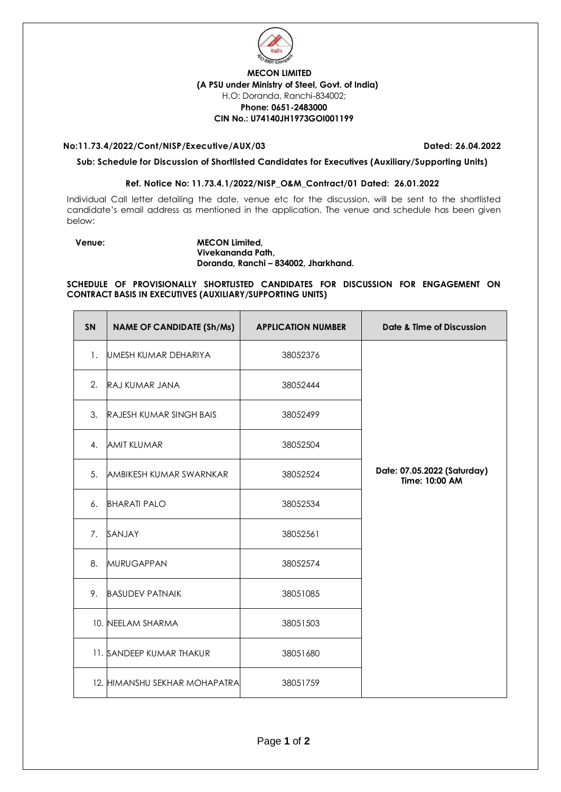

## **MECON LIMITED (A PSU under Ministry of Steel, Govt. of India)** H.O: Doranda, Ranchi-834002; **Phone: 0651-2483000 CIN No.: U74140JH1973GOI001199**

#### **No:11.73.4/2022/Cont/NISP/Executive/AUX/03 Dated: 26.04.2022**

**Sub: Schedule for Discussion of Shortlisted Candidates for Executives (Auxiliary/Supporting Units)** 

### **Ref. Notice No: 11.73.4.1/2022/NISP\_O&M\_Contract/01 Dated: 26.01.2022**

Individual Call letter detailing the date, venue etc for the discussion, will be sent to the shortlisted candidate's email address as mentioned in the application. The venue and schedule has been given below:

#### **Venue: MECON Limited, Vivekananda Path, Doranda, Ranchi – 834002, Jharkhand.**

**SCHEDULE OF PROVISIONALLY SHORTLISTED CANDIDATES FOR DISCUSSION FOR ENGAGEMENT ON CONTRACT BASIS IN EXECUTIVES (AUXILIARY/SUPPORTING UNITS)**

| <b>SN</b>      | <b>NAME OF CANDIDATE (Sh/Ms)</b> | <b>APPLICATION NUMBER</b> | <b>Date &amp; Time of Discussion</b>          |
|----------------|----------------------------------|---------------------------|-----------------------------------------------|
| 1.             | UMESH KUMAR DEHARIYA             | 38052376                  |                                               |
| 2 <sub>1</sub> | RAJ KUMAR JANA                   | 38052444                  |                                               |
| 3.             | <b>RAJESH KUMAR SINGH BAIS</b>   | 38052499                  |                                               |
| 4.             | <b>AMIT KLUMAR</b>               | 38052504                  |                                               |
| 5.             | <b>AMBIKESH KUMAR SWARNKAR</b>   | 38052524                  | Date: 07.05.2022 (Saturday)<br>Time: 10:00 AM |
| 6.             | <b>BHARATI PALO</b>              | 38052534                  |                                               |
| 7 <sub>1</sub> | SANJAY                           | 38052561                  |                                               |
| 8.             | <b>MURUGAPPAN</b>                | 38052574                  |                                               |
| 9.             | <b>BASUDEV PATNAIK</b>           | 38051085                  |                                               |
|                | 10. NEELAM SHARMA                | 38051503                  |                                               |
|                | 11. SANDEEP KUMAR THAKUR         | 38051680                  |                                               |
|                | 12. HIMANSHU SEKHAR MOHAPATRA    | 38051759                  |                                               |